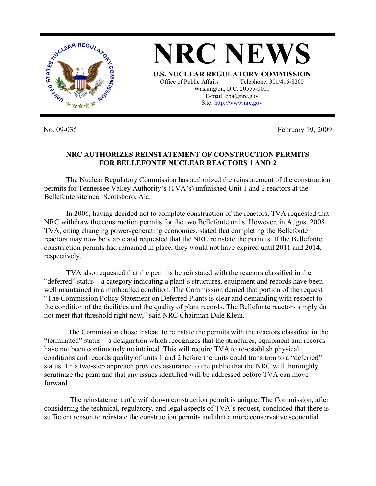

No. 09-035 February 19, 2009

## **NRC AUTHORIZES REINSTATEMENT OF CONSTRUCTION PERMITS FOR BELLEFONTE NUCLEAR REACTORS 1 AND 2**

The Nuclear Regulatory Commission has authorized the reinstatement of the construction permits for Tennessee Valley Authority's (TVA's) unfinished Unit 1 and 2 reactors at the Bellefonte site near Scottsboro, Ala.

In 2006, having decided not to complete construction of the reactors, TVA requested that NRC withdraw the construction permits for the two Bellefonte units. However, in August 2008 TVA, citing changing power-generating economics, stated that completing the Bellefonte reactors may now be viable and requested that the NRC reinstate the permits. If the Bellefonte construction permits had remained in place, they would not have expired until 2011 and 2014, respectively.

TVA also requested that the permits be reinstated with the reactors classified in the "deferred" status – a category indicating a plant's structures, equipment and records have been well maintained in a mothballed condition. The Commission denied that portion of the request. "The Commission Policy Statement on Deferred Plants is clear and demanding with respect to the condition of the facilities and the quality of plant records. The Bellefonte reactors simply do not meet that threshold right now," said NRC Chairman Dale Klein.

 The Commission chose instead to reinstate the permits with the reactors classified in the "terminated" status – a designation which recognizes that the structures, equipment and records have not been continuously maintained. This will require TVA to re-establish physical conditions and records quality of units 1 and 2 before the units could transition to a "deferred" status. This two-step approach provides assurance to the public that the NRC will thoroughly scrutinize the plant and that any issues identified will be addressed before TVA can move forward.

 The reinstatement of a withdrawn construction permit is unique. The Commission, after considering the technical, regulatory, and legal aspects of TVA's request, concluded that there is sufficient reason to reinstate the construction permits and that a more conservative sequential